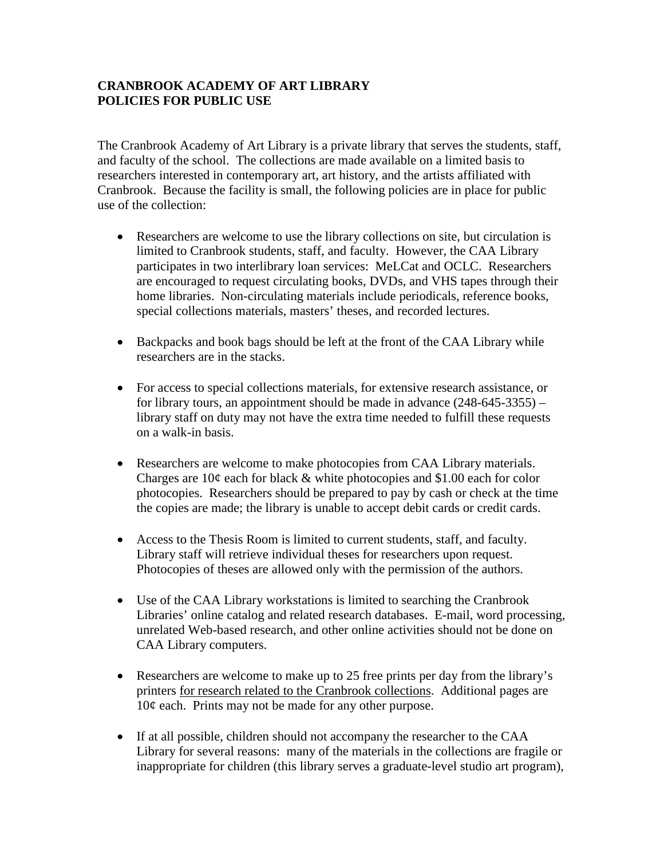## **CRANBROOK ACADEMY OF ART LIBRARY POLICIES FOR PUBLIC USE**

The Cranbrook Academy of Art Library is a private library that serves the students, staff, and faculty of the school. The collections are made available on a limited basis to researchers interested in contemporary art, art history, and the artists affiliated with Cranbrook. Because the facility is small, the following policies are in place for public use of the collection:

- Researchers are welcome to use the library collections on site, but circulation is limited to Cranbrook students, staff, and faculty. However, the CAA Library participates in two interlibrary loan services: MeLCat and OCLC. Researchers are encouraged to request circulating books, DVDs, and VHS tapes through their home libraries. Non-circulating materials include periodicals, reference books, special collections materials, masters' theses, and recorded lectures.
- Backpacks and book bags should be left at the front of the CAA Library while researchers are in the stacks.
- For access to special collections materials, for extensive research assistance, or for library tours, an appointment should be made in advance (248-645-3355) – library staff on duty may not have the extra time needed to fulfill these requests on a walk-in basis.
- Researchers are welcome to make photocopies from CAA Library materials. Charges are 10¢ each for black & white photocopies and \$1.00 each for color photocopies. Researchers should be prepared to pay by cash or check at the time the copies are made; the library is unable to accept debit cards or credit cards.
- Access to the Thesis Room is limited to current students, staff, and faculty. Library staff will retrieve individual theses for researchers upon request. Photocopies of theses are allowed only with the permission of the authors.
- Use of the CAA Library workstations is limited to searching the Cranbrook Libraries' online catalog and related research databases. E-mail, word processing, unrelated Web-based research, and other online activities should not be done on CAA Library computers.
- Researchers are welcome to make up to 25 free prints per day from the library's printers for research related to the Cranbrook collections. Additional pages are  $10¢$  each. Prints may not be made for any other purpose.
- If at all possible, children should not accompany the researcher to the CAA Library for several reasons: many of the materials in the collections are fragile or inappropriate for children (this library serves a graduate-level studio art program),